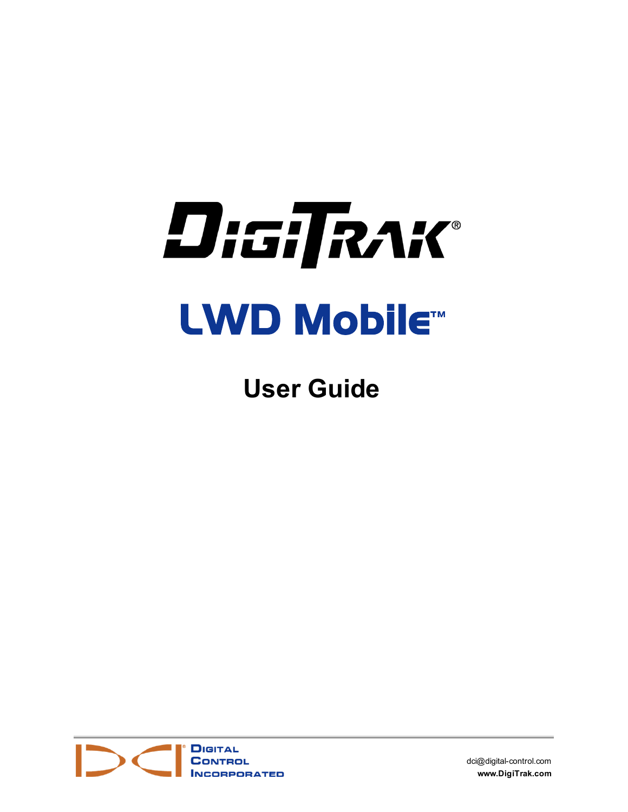

**User Guide**



[dci@digital-control.com](mailto:dci@digital-control.com) **[www.DigiTrak.com](http://www.digitrak.com/)**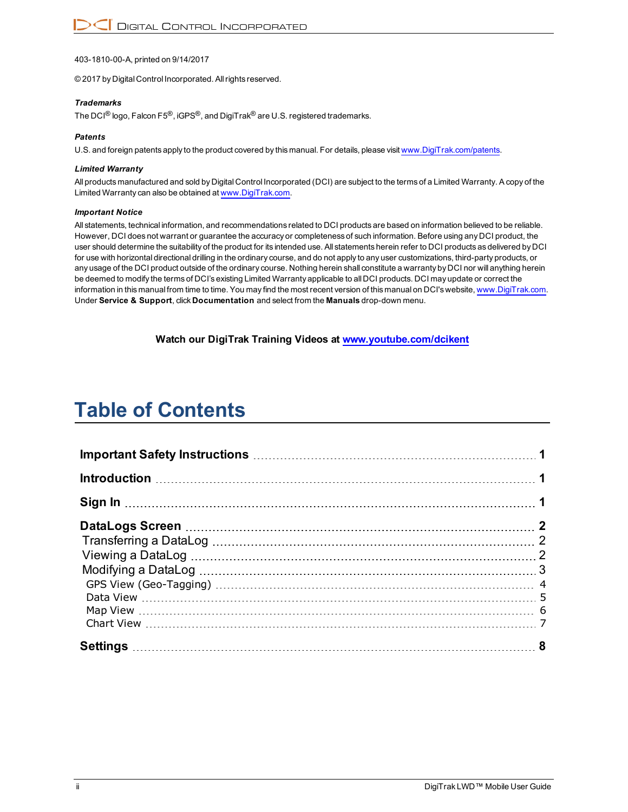403-1810-00-A, printed on 9/14/2017

© 2017 by Digital Control Incorporated. Allrights reserved.

#### *Trademarks*

The DCI<sup>®</sup> logo, Falcon F5<sup>®</sup>, iGPS<sup>®</sup>, and DigiTrak<sup>®</sup> are U.S. registered trademarks.

#### *Patents*

U.S. and foreign patents apply to the product covered by this manual. For details, please visit [www.DigiTrak.com/patents.](http://www.digitrak.com/patents)

#### *Limited Warranty*

All products manufactured and sold by Digital Control Incorporated (DCI) are subject to the terms of a Limited Warranty. A copy of the Limited Warranty can also be obtained at [www.DigiTrak.com.](http://www.digitrak.com/)

#### *Important Notice*

All statements, technical information, and recommendations related to DCI products are based on information believed to be reliable. However, DCI does not warrant or guarantee the accuracy or completeness of such information. Before using any DCI product, the user should determine the suitability of the product for its intended use. All statements herein refer to DCI products as delivered by DCI for use with horizontal directional drilling in the ordinary course, and do not apply to any user customizations, third-party products, or any usage of the DCI product outside of the ordinary course. Nothing herein shall constitute a warranty by DCI nor will anything herein be deemed to modify the terms of DCI's existing Limited Warranty applicable to all DCI products. DCI may update or correct the information in this manual from time to time. You may find the most recent version of this manual on DCI's website, [www.DigiTrak.com](http://www.digitrak.com/). Under **Service & Support**, click **Documentation** and select from the **Manuals** drop-down menu.

**Watch our DigiTrak Training Videos at [www.youtube.com/dcikent](http://www.youtube.com/dcikent)**

# **Table of Contents**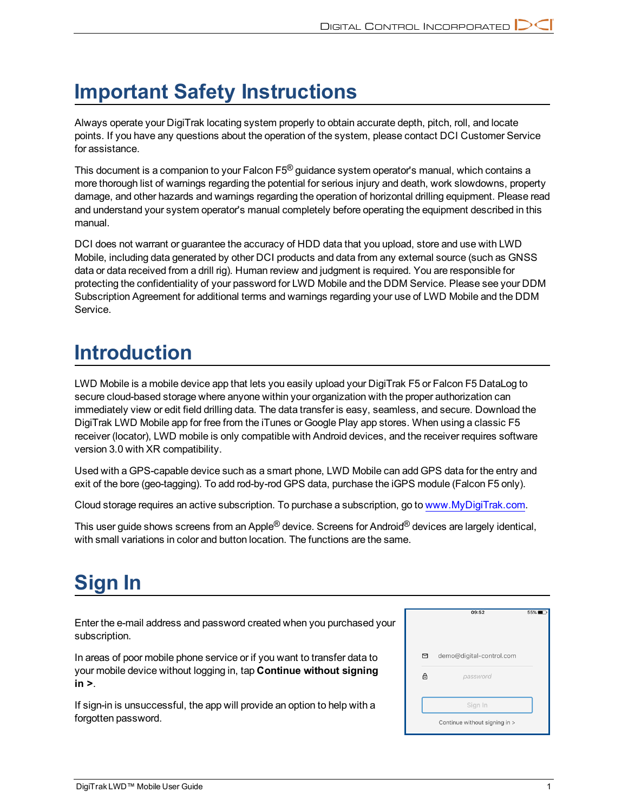## <span id="page-2-0"></span>**Important Safety Instructions**

Always operate your DigiTrak locating system properly to obtain accurate depth, pitch, roll, and locate points. If you have any questions about the operation of the system, please contact DCI Customer Service for assistance.

This document is a companion to your Falcon F5<sup>®</sup> guidance system operator's manual, which contains a more thorough list of warnings regarding the potential for serious injury and death, work slowdowns, property damage, and other hazards and warnings regarding the operation of horizontal drilling equipment. Please read and understand your system operator's manual completely before operating the equipment described in this manual.

DCI does not warrant or guarantee the accuracy of HDD data that you upload, store and use with LWD Mobile, including data generated by other DCI products and data from any external source (such as GNSS data or data received from a drill rig). Human review and judgment is required. You are responsible for protecting the confidentiality of your password for LWD Mobile and the DDM Service. Please see your DDM Subscription Agreement for additional terms and warnings regarding your use of LWD Mobile and the DDM Service.

## <span id="page-2-1"></span>**Introduction**

LWD Mobile is a mobile device app that lets you easily upload your DigiTrak F5 or Falcon F5 DataLog to secure cloud-based storage where anyone within your organization with the proper authorization can immediately view or edit field drilling data. The data transfer is easy, seamless, and secure. Download the DigiTrak LWD Mobile app for free from the iTunes or Google Play app stores. When using a classic F5 receiver (locator), LWD mobile is only compatible with Android devices, and the receiver requires software version 3.0 with XR compatibility.

Used with a GPS-capable device such as a smart phone, LWD Mobile can add GPS data for the entry and exit of the bore (geo-tagging). To add rod-by-rod GPS data, purchase the iGPS module (Falcon F5 only).

Cloud storage requires an active subscription. To purchase a subscription, go to [www.MyDigiTrak.com](http://www.mydigitrak.com/).

This user guide shows screens from an Apple® device. Screens for Android® devices are largely identical, with small variations in color and button location. The functions are the same.

# <span id="page-2-2"></span>**Sign In**

Enter the e-mail address and password created when you purchased your subscription.

In areas of poor mobile phone service or if you want to transfer data to your mobile device without logging in, tap **Continue without signing in >**.

If sign-in is unsuccessful, the app will provide an option to help with a forgotten password.

|   | 09:52                         | 55% |
|---|-------------------------------|-----|
| 罓 | demo@digital-control.com      |     |
| A | password                      |     |
|   | Sign In                       |     |
|   | Continue without signing in > |     |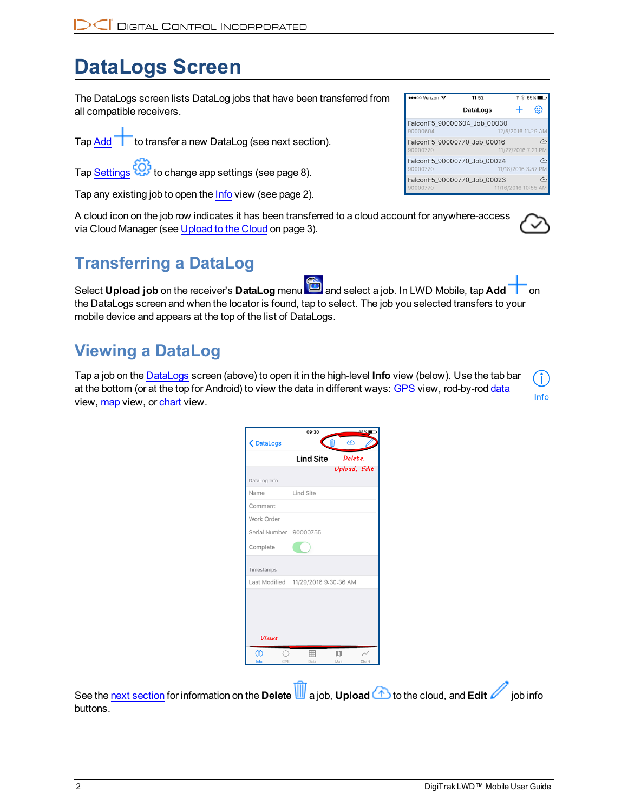# <span id="page-3-0"></span>**DataLogs Screen**

The DataLogs screen lists DataLog jobs that have been transferred from all compatible receivers.

Tap Add **than** to transfer a new DataLog (see next section).

Tap [Settings](#page-9-0)  $\overleftrightarrow{Q}$  to change app settings (see page [8](#page-9-0)).

Tap any existing job to open the [Info](#page-3-2) view (see page [2\)](#page-3-2).

A cloud icon on the job row indicates it has been transferred to a cloud account for anywhere-access via Cloud Manager (see [Upload](#page-4-1) to the Cloud on page [3](#page-4-1)).

## <span id="page-3-1"></span>**Transferring a DataLog**

Select **Upload job** on the receiver's **DataLog** menu and select a job. In LWD Mobile, tap **Add** on the DataLogs screen and when the locator is found, tap to select. The job you selected transfers to your mobile device and appears at the top of the list of DataLogs.

### <span id="page-3-2"></span>**Viewing a DataLog**

Tap a job on the [DataLogs](#page-3-0) screen (above) to open it in the high-level **Info** view (below). Use the tab bar at the bottom (or at the top for Android) to view the data in different ways: [GPS](#page-5-0) view, rod-by-rod [data](#page-6-0) view, [map](#page-7-0) view, or [chart](#page-8-0) view.

|                        | Lind Site Delete,                   |              |  |
|------------------------|-------------------------------------|--------------|--|
|                        |                                     | Upload, Edit |  |
| DataLog Info           |                                     |              |  |
| Name                   | <b>Lind Site</b>                    |              |  |
| Comment                |                                     |              |  |
| Work Order             |                                     |              |  |
| Serial Number 90000755 |                                     |              |  |
| Complete               |                                     |              |  |
| Timestamps             |                                     |              |  |
|                        | Last Modified 11/29/2016 9:30:36 AM |              |  |
| <b>Views</b>           |                                     |              |  |
| ⋒                      | 翢                                   | n            |  |

See the next [section](#page-4-0) for information on the **Delete** a job, **Upload** to the cloud, and **Edit** job info buttons.

| •••○○ Verizon 全                         | 11:52    |                     | $\frac{4}{8}$ 65% |
|-----------------------------------------|----------|---------------------|-------------------|
|                                         | DataLogs |                     |                   |
| FalconF5_90000604_Job_00030<br>90000604 |          | 12/5/2016 11:29 AM  |                   |
| FalconF5 90000770 Job 00016<br>90000770 |          | 11/27/2016 7:21 PM  |                   |
| FalconF5_90000770_Job_00024<br>90000770 |          | 11/18/2016 3:57 PM  |                   |
| FalconF5_90000770_Job_00023<br>90000770 |          | 11/16/2016 10:55 AM |                   |

Info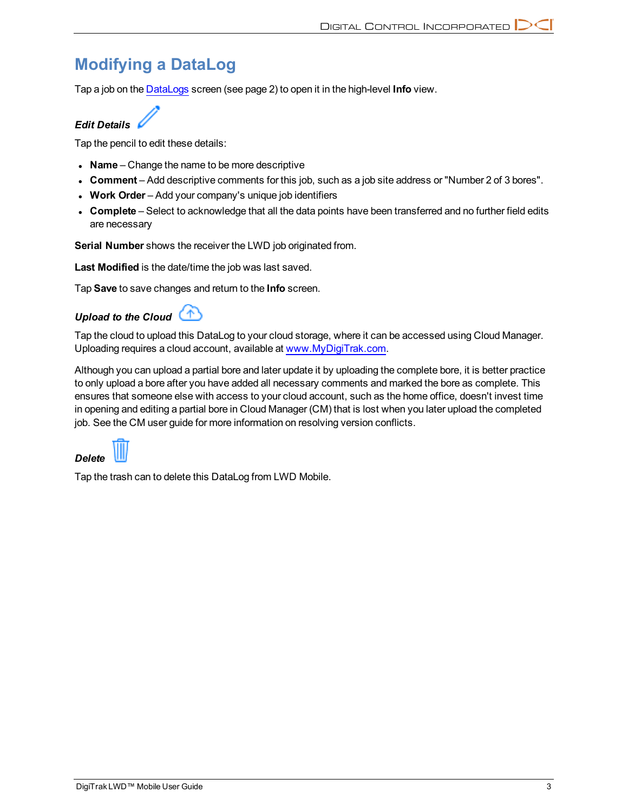## <span id="page-4-0"></span>**Modifying a DataLog**

Tap a job on the [DataLogs](#page-3-0) screen (see page [2\)](#page-3-0) to open it in the high-level **Info** view.

### *Edit Details*

Tap the pencil to edit these details:

- Name Change the name to be more descriptive
- <sup>l</sup> **Comment** Add descriptive comments for this job, such as a job site address or "Number 2 of 3 bores".
- **Work Order** Add your company's unique job identifiers
- **Complete** Select to acknowledge that all the data points have been transferred and no further field edits are necessary

**Serial Number** shows the receiver the LWD job originated from.

**Last Modified** is the date/time the job was last saved.

<span id="page-4-1"></span>Tap **Save** to save changes and return to the **Info** screen.

### *Upload to the Cloud*

Tap the cloud to upload this DataLog to your cloud storage, where it can be accessed using Cloud Manager. Uploading requires a cloud account, available at [www.MyDigiTrak.com](http://www.mydigitrak.com/).

Although you can upload a partial bore and later update it by uploading the complete bore, it is better practice to only upload a bore after you have added all necessary comments and marked the bore as complete. This ensures that someone else with access to your cloud account, such as the home office, doesn't invest time in opening and editing a partial bore in Cloud Manager (CM) that is lost when you later upload the completed job. See the CM user guide for more information on resolving version conflicts.



Tap the trash can to delete this DataLog from LWD Mobile.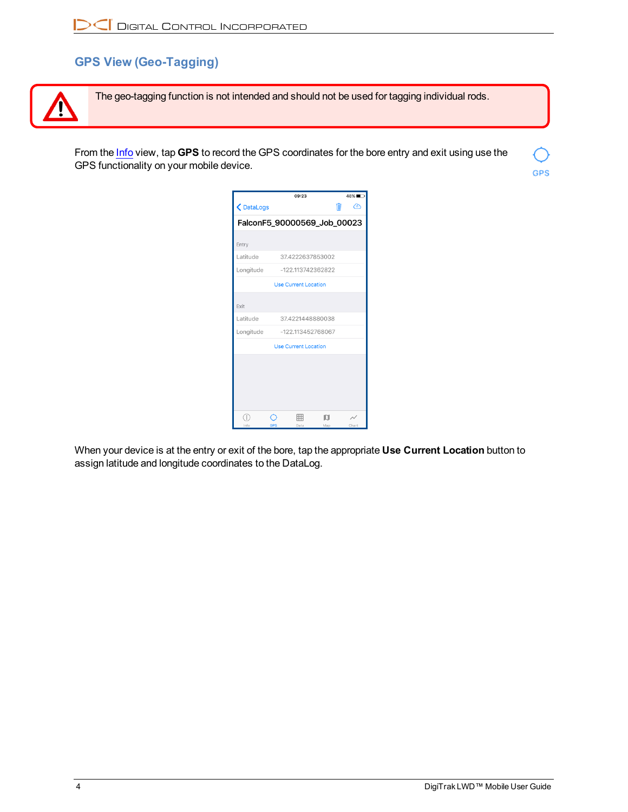### <span id="page-5-0"></span>**GPS View (Geo-Tagging)**



The geo-tagging function is not intended and should not be used for tagging individual rods.

From the [Info](#page-3-2) view, tap **GPS** to record the GPS coordinates for the bore entry and exit using use the GPS functionality on your mobile device.



When your device is at the entry or exit of the bore, tap the appropriate **Use Current Location** button to assign latitude and longitude coordinates to the DataLog.

**GPS**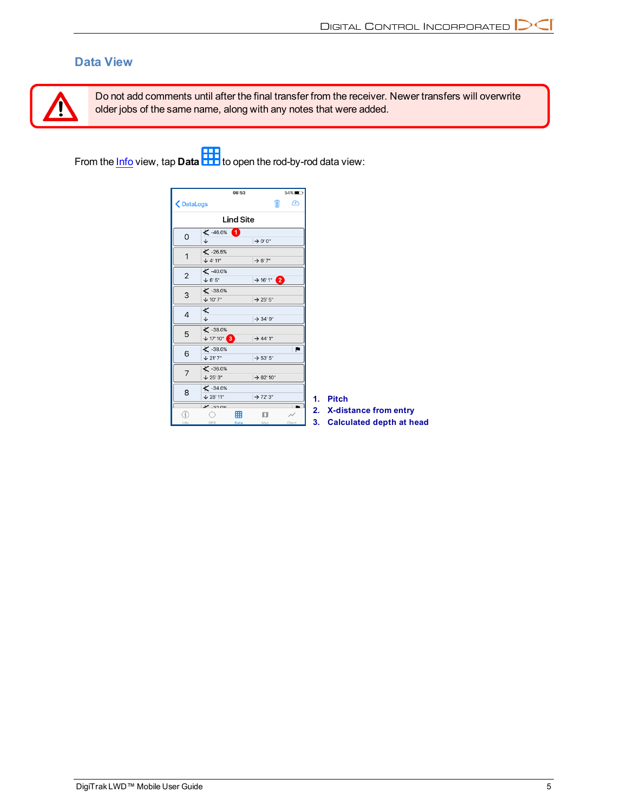### <span id="page-6-0"></span>**Data View**



Do not add comments until after the final transfer from the receiver. Newer transfers will overwrite older jobs of the same name, along with any notes that were added.

From the <u>[Info](#page-3-2)</u> view, tap **Data HH** to open the rod-by-rod data view:

|                |                                            | 08:53     |                        | $54\%$ |
|----------------|--------------------------------------------|-----------|------------------------|--------|
| DataLogs       |                                            |           | Ŵ                      | ⊕      |
|                | <b>Lind Site</b>                           |           |                        |        |
| $\Omega$       | $\times$ -46.0%<br>J                       |           | $\rightarrow$ 0' 0"    |        |
| 1              | $X - 26.5%$<br>$+ 4' 11''$                 |           | $\rightarrow$ 6'7"     |        |
| $\overline{2}$ | $\checkmark$ -40.0%<br>$+ 6'5''$           |           | $\rightarrow$ 16' 1" 2 |        |
| 3              | $X - 38.0%$<br>$+ 10'7''$                  |           | $\rightarrow$ 25' 5"   |        |
| 4              | ≮<br>$\overline{\mathbf{V}}$               |           | $\rightarrow$ 34' 9"   |        |
| 5              | $\checkmark$ -38.0%<br>$+ 17'10''$ 3       |           | $\rightarrow$ 44' 1"   |        |
| 6              | $\checkmark$ -38.0%<br>$\downarrow$ 21' 7" |           | $\rightarrow$ 53' 5"   |        |
| 7              | $X - 36.0%$<br>$\sqrt{25'3''}$             |           | $\rightarrow$ 62' 10"  |        |
| 8              | $\leq$ -34.0%<br>$\downarrow$ 28' 11"      |           | $\rightarrow$ 72' 3"   |        |
| T.<br>Info     | $\times$ 22 nex<br>GPS                     | 翻<br>Data | n<br>Map               | Chart  |

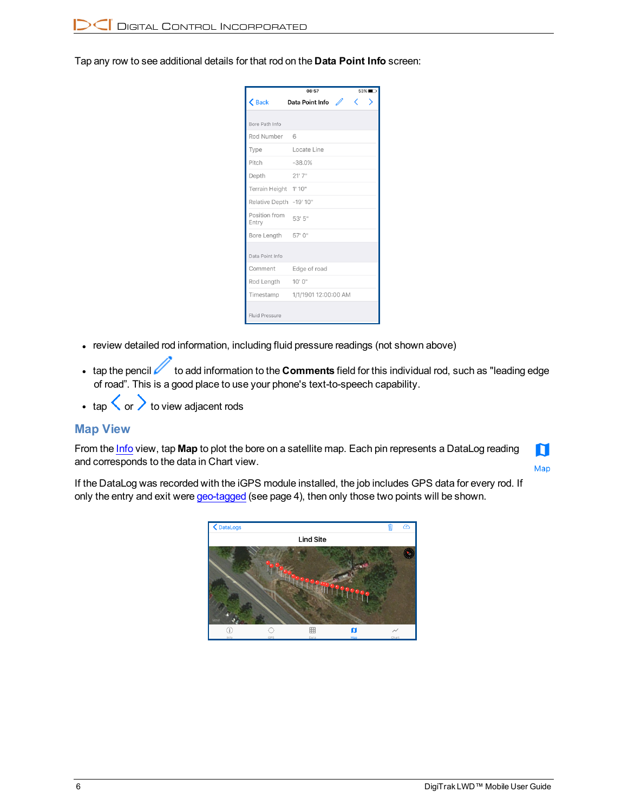<span id="page-7-1"></span>Tap any row to see additional details for that rod on the **Data Point Info** screen:

|                        | 08:57                | 53%    |
|------------------------|----------------------|--------|
| $\zeta$ Back           | Data Point Info      | ✓<br>↘ |
|                        |                      |        |
| Bore Path Info         |                      |        |
| Rod Number             | 6                    |        |
| Type                   | Locate Line          |        |
| Pitch                  | $-38.0%$             |        |
| Depth                  | 21'7''               |        |
| Terrain Height         | 1'10''               |        |
| <b>Relative Depth</b>  | $-19'10''$           |        |
| Position from<br>Entry | 53' 5"               |        |
| Bore Length            | 57' 0"               |        |
| Data Point Info        |                      |        |
| Comment                | Edge of road         |        |
| Rod Length             | 10'0''               |        |
| Timestamp              | 1/1/1901 12:00:00 AM |        |
| <b>Fluid Pressure</b>  |                      |        |

- review detailed rod information, including fluid pressure readings (not shown above)
- tap the pencil **the information to the Comments** field for this individual rod, such as "leading edge of road". This is a good place to use your phone's text-to-speech capability.
- <span id="page-7-0"></span> $\cdot$  tap  $\langle \rangle$  or  $\rangle$  to view adjacent rods

#### **Map View**

From the [Info](#page-3-2) view, tap **Map** to plot the bore on a satellite map. Each pin represents a DataLog reading and corresponds to the data in Chart view.

N Map

If the DataLog was recorded with the iGPS module installed, the job includes GPS data for every rod. If only the entry and exit were [geo-tagged](#page-5-0) (see page [4\)](#page-5-0), then only those two points will be shown.

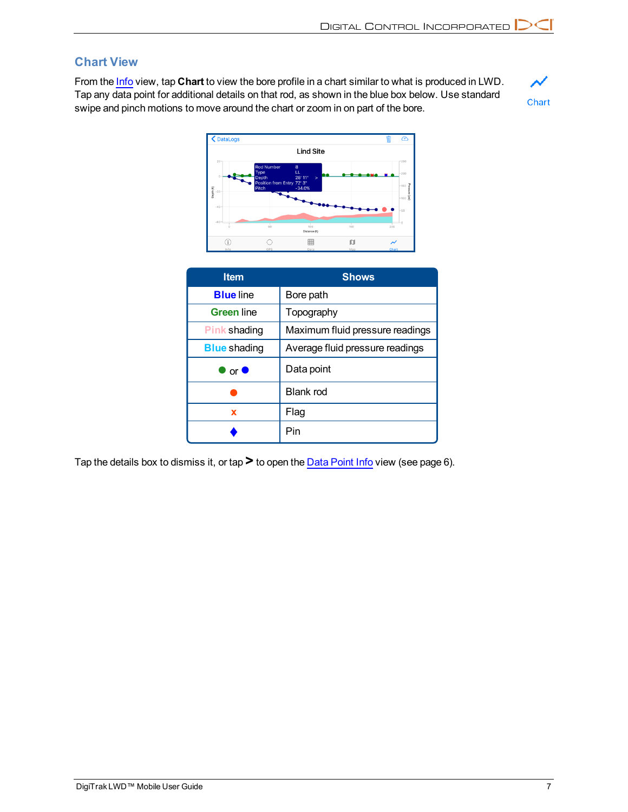### <span id="page-8-0"></span>**Chart View**

From the [Info](#page-3-2) view, tap **Chart** to view the bore profile in a chart similar to what is produced in LWD. Tap any data point for additional details on that rod, as shown in the blue box below. Use standard swipe and pinch motions to move around the chart or zoom in on part of the bore.





| <b>Item</b>            | <b>Shows</b>                    |
|------------------------|---------------------------------|
| <b>Blue</b> line       | Bore path                       |
| <b>Green line</b>      | Topography                      |
| <b>Pink shading</b>    | Maximum fluid pressure readings |
| <b>Blue</b> shading    | Average fluid pressure readings |
| $\bullet$ or $\bullet$ | Data point                      |
|                        | Blank rod                       |
| X                      | Flag                            |
|                        | Pin                             |

Tap the details box to dismiss it, or tap**>** to open the Data [Point](#page-7-1) Info view (see page [6](#page-7-1)).